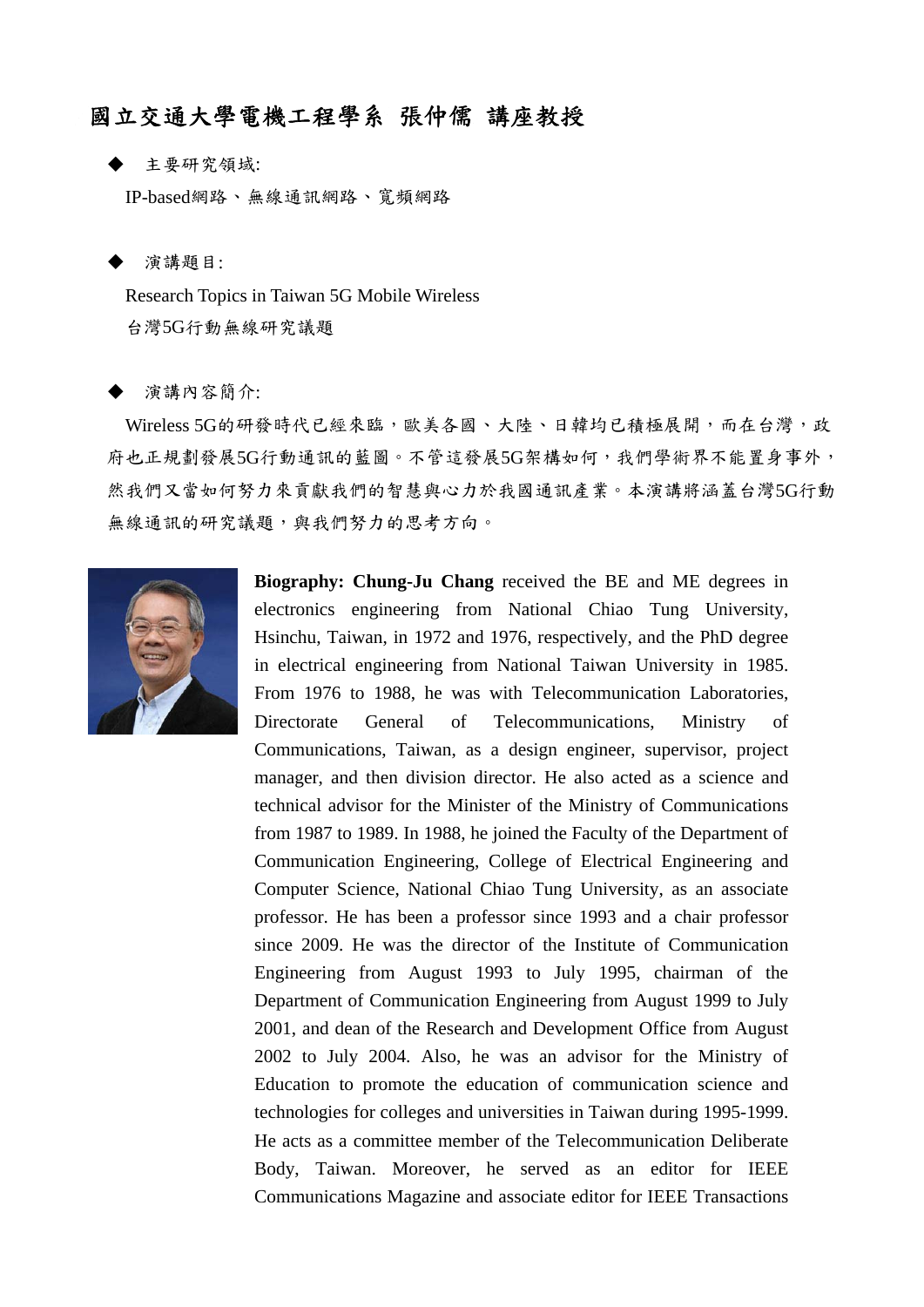## 國立交通大學電機工程學系 張仲儒 講座教授

主要研究領域:

IP-based網路、無線通訊網路、寬頻網路

演講題目:

 Research Topics in Taiwan 5G Mobile Wireless 台灣5G行動無線研究議題

演講內容簡介:

Wireless 5G的研發時代已經來臨,歐美各國、大陸、日韓均已積極展開,而在台灣,政 府也正規劃發展5G行動通訊的藍圖。不管這發展5G架構如何,我們學術界不能置身事外, 然我們又當如何努力來貢獻我們的智慧與心力於我國通訊產業。本演講將涵蓋台灣5G行動 無線通訊的研究議題,與我們努力的思考方向。



**Biography: Chung-Ju Chang** received the BE and ME degrees in electronics engineering from National Chiao Tung University, Hsinchu, Taiwan, in 1972 and 1976, respectively, and the PhD degree in electrical engineering from National Taiwan University in 1985. From 1976 to 1988, he was with Telecommunication Laboratories, Directorate General of Telecommunications, Ministry of Communications, Taiwan, as a design engineer, supervisor, project manager, and then division director. He also acted as a science and technical advisor for the Minister of the Ministry of Communications from 1987 to 1989. In 1988, he joined the Faculty of the Department of Communication Engineering, College of Electrical Engineering and Computer Science, National Chiao Tung University, as an associate professor. He has been a professor since 1993 and a chair professor since 2009. He was the director of the Institute of Communication Engineering from August 1993 to July 1995, chairman of the Department of Communication Engineering from August 1999 to July 2001, and dean of the Research and Development Office from August 2002 to July 2004. Also, he was an advisor for the Ministry of Education to promote the education of communication science and technologies for colleges and universities in Taiwan during 1995-1999. He acts as a committee member of the Telecommunication Deliberate Body, Taiwan. Moreover, he served as an editor for IEEE Communications Magazine and associate editor for IEEE Transactions